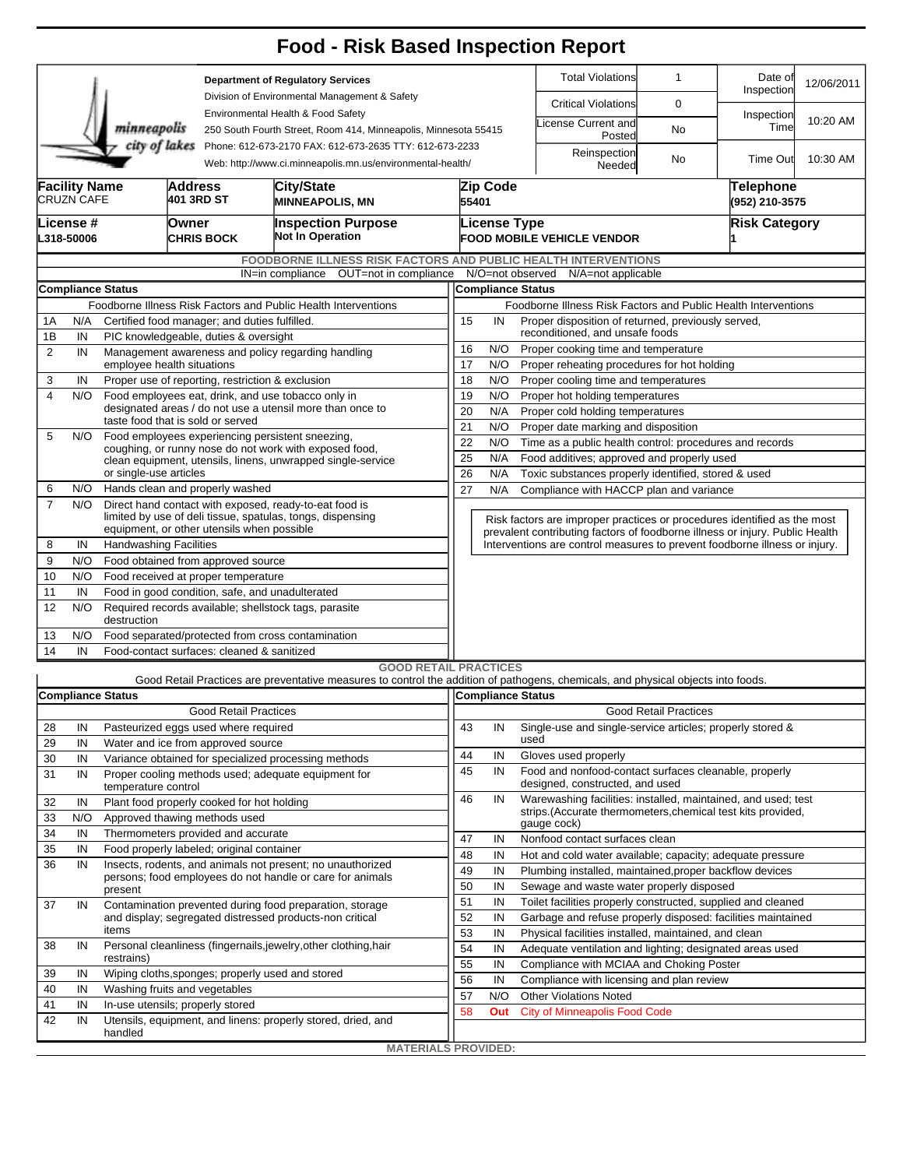|                |                                                                |                                       |                                                                                  |                                                                                                                       | <b>Food - Risk Based Inspection Report</b>                                                                                        |          |                                                                                                                             |                                                              |                                                                              |                              |                             |            |  |  |  |  |  |  |
|----------------|----------------------------------------------------------------|---------------------------------------|----------------------------------------------------------------------------------|-----------------------------------------------------------------------------------------------------------------------|-----------------------------------------------------------------------------------------------------------------------------------|----------|-----------------------------------------------------------------------------------------------------------------------------|--------------------------------------------------------------|------------------------------------------------------------------------------|------------------------------|-----------------------------|------------|--|--|--|--|--|--|
|                |                                                                |                                       |                                                                                  |                                                                                                                       | <b>Department of Regulatory Services</b><br>Division of Environmental Management & Safety                                         |          |                                                                                                                             |                                                              | <b>Total Violations</b>                                                      | $\mathbf{1}$                 | Date of<br>Inspection       | 12/06/2011 |  |  |  |  |  |  |
|                |                                                                |                                       |                                                                                  |                                                                                                                       | Environmental Health & Food Safety                                                                                                |          |                                                                                                                             |                                                              | <b>Critical Violations</b>                                                   | 0                            |                             |            |  |  |  |  |  |  |
|                |                                                                | minneapolis                           |                                                                                  | 250 South Fourth Street, Room 414, Minneapolis, Minnesota 55415                                                       |                                                                                                                                   |          |                                                                                                                             | icense Current and<br>Posted                                 | No                                                                           | Inspection<br>Time           | 10:20 AM                    |            |  |  |  |  |  |  |
|                |                                                                | city of lakes                         |                                                                                  | Phone: 612-673-2170 FAX: 612-673-2635 TTY: 612-673-2233<br>Web: http://www.ci.minneapolis.mn.us/environmental-health/ |                                                                                                                                   |          |                                                                                                                             |                                                              | Reinspection<br>Needed                                                       | No                           | Time Out                    | 10:30 AM   |  |  |  |  |  |  |
|                | <b>Facility Name</b><br><b>CRUZN CAFE</b>                      |                                       | <b>Address</b>                                                                   | 401 3RD ST                                                                                                            | City/State<br><b>MINNEAPOLIS, MN</b>                                                                                              |          | Zip Code<br>55401                                                                                                           |                                                              |                                                                              |                              | Telephone<br>(952) 210-3575 |            |  |  |  |  |  |  |
|                | License #<br>L318-50006                                        |                                       | Owner<br><b>CHRIS BOCK</b>                                                       |                                                                                                                       | <b>Inspection Purpose</b><br><b>Not In Operation</b>                                                                              |          | License Type                                                                                                                |                                                              | <b>FOOD MOBILE VEHICLE VENDOR</b>                                            | <b>Risk Category</b>         |                             |            |  |  |  |  |  |  |
|                |                                                                |                                       |                                                                                  |                                                                                                                       | <b>FOODBORNE ILLNESS RISK FACTORS AND PUBLIC HEALTH INTERVENTIONS</b>                                                             |          |                                                                                                                             |                                                              |                                                                              |                              |                             |            |  |  |  |  |  |  |
|                |                                                                |                                       |                                                                                  |                                                                                                                       | IN=in compliance OUT=not in compliance                                                                                            |          |                                                                                                                             |                                                              | N/O=not observed N/A=not applicable                                          |                              |                             |            |  |  |  |  |  |  |
|                |                                                                | <b>Compliance Status</b>              |                                                                                  |                                                                                                                       |                                                                                                                                   |          | <b>Compliance Status</b>                                                                                                    |                                                              |                                                                              |                              |                             |            |  |  |  |  |  |  |
|                | Foodborne Illness Risk Factors and Public Health Interventions |                                       |                                                                                  |                                                                                                                       |                                                                                                                                   |          |                                                                                                                             |                                                              | Foodborne Illness Risk Factors and Public Health Interventions               |                              |                             |            |  |  |  |  |  |  |
| 1A             | N/A                                                            |                                       |                                                                                  | Certified food manager; and duties fulfilled.                                                                         |                                                                                                                                   |          | 15<br>Proper disposition of returned, previously served,<br>IN<br>reconditioned, and unsafe foods                           |                                                              |                                                                              |                              |                             |            |  |  |  |  |  |  |
| 1Β<br>2        | IN<br>IN                                                       | PIC knowledgeable, duties & oversight |                                                                                  |                                                                                                                       |                                                                                                                                   |          |                                                                                                                             | 16<br>N/O<br>Proper cooking time and temperature             |                                                                              |                              |                             |            |  |  |  |  |  |  |
|                |                                                                |                                       | Management awareness and policy regarding handling<br>employee health situations |                                                                                                                       |                                                                                                                                   |          |                                                                                                                             |                                                              | 17<br>N/O<br>Proper reheating procedures for hot holding                     |                              |                             |            |  |  |  |  |  |  |
| 3              | IN                                                             |                                       |                                                                                  | Proper use of reporting, restriction & exclusion                                                                      |                                                                                                                                   | 18       | N/O<br>Proper cooling time and temperatures                                                                                 |                                                              |                                                                              |                              |                             |            |  |  |  |  |  |  |
| $\overline{4}$ | N/O                                                            |                                       |                                                                                  | Food employees eat, drink, and use tobacco only in                                                                    | 19<br>N/O<br>Proper hot holding temperatures                                                                                      |          |                                                                                                                             |                                                              |                                                                              |                              |                             |            |  |  |  |  |  |  |
|                |                                                                | taste food that is sold or served     |                                                                                  |                                                                                                                       | designated areas / do not use a utensil more than once to                                                                         | 20       | N/A<br>Proper cold holding temperatures                                                                                     |                                                              |                                                                              |                              |                             |            |  |  |  |  |  |  |
| 5              | N/O                                                            |                                       |                                                                                  |                                                                                                                       | Food employees experiencing persistent sneezing,                                                                                  |          | 21<br>N/O<br>Proper date marking and disposition                                                                            |                                                              |                                                                              |                              |                             |            |  |  |  |  |  |  |
|                |                                                                |                                       |                                                                                  |                                                                                                                       | coughing, or runny nose do not work with exposed food,                                                                            |          | 22<br>N/O<br>Time as a public health control: procedures and records                                                        |                                                              |                                                                              |                              |                             |            |  |  |  |  |  |  |
|                |                                                                |                                       |                                                                                  |                                                                                                                       | clean equipment, utensils, linens, unwrapped single-service                                                                       |          | 25<br>Food additives; approved and properly used<br>N/A<br>26<br>N/A<br>Toxic substances properly identified, stored & used |                                                              |                                                                              |                              |                             |            |  |  |  |  |  |  |
| 6              | N/O                                                            | or single-use articles                |                                                                                  | Hands clean and properly washed                                                                                       |                                                                                                                                   | 27       | N/A<br>Compliance with HACCP plan and variance                                                                              |                                                              |                                                                              |                              |                             |            |  |  |  |  |  |  |
| $\overline{7}$ | N/O                                                            |                                       |                                                                                  |                                                                                                                       | Direct hand contact with exposed, ready-to-eat food is                                                                            |          |                                                                                                                             |                                                              |                                                                              |                              |                             |            |  |  |  |  |  |  |
|                |                                                                |                                       |                                                                                  |                                                                                                                       | limited by use of deli tissue, spatulas, tongs, dispensing                                                                        |          | Risk factors are improper practices or procedures identified as the most                                                    |                                                              |                                                                              |                              |                             |            |  |  |  |  |  |  |
|                |                                                                |                                       |                                                                                  | equipment, or other utensils when possible                                                                            |                                                                                                                                   |          |                                                                                                                             |                                                              | prevalent contributing factors of foodborne illness or injury. Public Health |                              |                             |            |  |  |  |  |  |  |
| 8              | IN                                                             | <b>Handwashing Facilities</b>         |                                                                                  |                                                                                                                       |                                                                                                                                   |          |                                                                                                                             |                                                              | Interventions are control measures to prevent foodborne illness or injury.   |                              |                             |            |  |  |  |  |  |  |
| 9              | N/O                                                            |                                       |                                                                                  | Food obtained from approved source                                                                                    |                                                                                                                                   |          |                                                                                                                             |                                                              |                                                                              |                              |                             |            |  |  |  |  |  |  |
| 10<br>11       | N/O<br>IN                                                      |                                       |                                                                                  | Food received at proper temperature<br>Food in good condition, safe, and unadulterated                                |                                                                                                                                   |          |                                                                                                                             |                                                              |                                                                              |                              |                             |            |  |  |  |  |  |  |
| 12             | N/O                                                            | destruction                           |                                                                                  |                                                                                                                       | Required records available; shellstock tags, parasite                                                                             |          |                                                                                                                             |                                                              |                                                                              |                              |                             |            |  |  |  |  |  |  |
| 13             | N/O                                                            |                                       |                                                                                  |                                                                                                                       | Food separated/protected from cross contamination                                                                                 |          |                                                                                                                             |                                                              |                                                                              |                              |                             |            |  |  |  |  |  |  |
| 14             | IN                                                             |                                       | Food-contact surfaces: cleaned & sanitized                                       |                                                                                                                       |                                                                                                                                   |          |                                                                                                                             |                                                              |                                                                              |                              |                             |            |  |  |  |  |  |  |
|                |                                                                |                                       |                                                                                  |                                                                                                                       | <b>GOOD RETAIL PRACTICES</b>                                                                                                      |          |                                                                                                                             |                                                              |                                                                              |                              |                             |            |  |  |  |  |  |  |
|                |                                                                |                                       |                                                                                  |                                                                                                                       | Good Retail Practices are preventative measures to control the addition of pathogens, chemicals, and physical objects into foods. |          |                                                                                                                             |                                                              |                                                                              |                              |                             |            |  |  |  |  |  |  |
|                |                                                                | <b>Compliance Status</b>              |                                                                                  |                                                                                                                       |                                                                                                                                   |          | Compliance Status                                                                                                           |                                                              |                                                                              |                              |                             |            |  |  |  |  |  |  |
|                |                                                                |                                       |                                                                                  | <b>Good Retail Practices</b>                                                                                          |                                                                                                                                   |          |                                                                                                                             |                                                              |                                                                              | <b>Good Retail Practices</b> |                             |            |  |  |  |  |  |  |
| 28             | IN                                                             |                                       |                                                                                  | Pasteurized eggs used where required                                                                                  |                                                                                                                                   | 43       | IN                                                                                                                          | used                                                         | Single-use and single-service articles; properly stored &                    |                              |                             |            |  |  |  |  |  |  |
| 29             | IN                                                             |                                       |                                                                                  | Water and ice from approved source                                                                                    |                                                                                                                                   | 44       | IN                                                                                                                          |                                                              | Gloves used properly                                                         |                              |                             |            |  |  |  |  |  |  |
| 30<br>31       | IN<br>IN                                                       |                                       |                                                                                  | Variance obtained for specialized processing methods<br>Proper cooling methods used; adequate equipment for           | 45                                                                                                                                | IN       |                                                                                                                             | Food and nonfood-contact surfaces cleanable, properly        |                                                                              |                              |                             |            |  |  |  |  |  |  |
|                |                                                                | temperature control                   |                                                                                  |                                                                                                                       |                                                                                                                                   |          |                                                                                                                             |                                                              | designed, constructed, and used                                              |                              |                             |            |  |  |  |  |  |  |
| 32             | IN                                                             |                                       |                                                                                  | Plant food properly cooked for hot holding                                                                            |                                                                                                                                   | 46       | IN                                                                                                                          |                                                              | Warewashing facilities: installed, maintained, and used; test                |                              |                             |            |  |  |  |  |  |  |
| 33             | N/O                                                            |                                       |                                                                                  | Approved thawing methods used                                                                                         |                                                                                                                                   |          |                                                                                                                             |                                                              | strips. (Accurate thermometers, chemical test kits provided,<br>gauge cock)  |                              |                             |            |  |  |  |  |  |  |
| 34             | IN                                                             |                                       |                                                                                  | Thermometers provided and accurate                                                                                    |                                                                                                                                   | 47       | IN                                                                                                                          |                                                              | Nonfood contact surfaces clean                                               |                              |                             |            |  |  |  |  |  |  |
| 35             | IN                                                             |                                       |                                                                                  | Food properly labeled; original container                                                                             |                                                                                                                                   | 48       | IN                                                                                                                          | Hot and cold water available; capacity; adequate pressure    |                                                                              |                              |                             |            |  |  |  |  |  |  |
| 36             | IN                                                             |                                       |                                                                                  |                                                                                                                       | Insects, rodents, and animals not present; no unauthorized                                                                        | 49       | IN                                                                                                                          |                                                              | Plumbing installed, maintained, proper backflow devices                      |                              |                             |            |  |  |  |  |  |  |
|                |                                                                | present                               |                                                                                  |                                                                                                                       | persons; food employees do not handle or care for animals                                                                         | 50       | IN                                                                                                                          |                                                              | Sewage and waste water properly disposed                                     |                              |                             |            |  |  |  |  |  |  |
| 37             | IN                                                             |                                       |                                                                                  | Contamination prevented during food preparation, storage                                                              | 51                                                                                                                                | IN       |                                                                                                                             | Toilet facilities properly constructed, supplied and cleaned |                                                                              |                              |                             |            |  |  |  |  |  |  |
|                |                                                                |                                       |                                                                                  |                                                                                                                       | and display; segregated distressed products-non critical                                                                          | 52       | IN                                                                                                                          |                                                              | Garbage and refuse properly disposed: facilities maintained                  |                              |                             |            |  |  |  |  |  |  |
|                |                                                                | items                                 |                                                                                  |                                                                                                                       |                                                                                                                                   | 53<br>54 | IN                                                                                                                          |                                                              | Physical facilities installed, maintained, and clean                         |                              |                             |            |  |  |  |  |  |  |
| 38             | IN                                                             | restrains)                            |                                                                                  |                                                                                                                       | Personal cleanliness (fingernails,jewelry,other clothing,hair                                                                     |          | IN                                                                                                                          |                                                              | Adequate ventilation and lighting; designated areas used                     |                              |                             |            |  |  |  |  |  |  |
| 39             | IN                                                             |                                       |                                                                                  |                                                                                                                       | Wiping cloths, sponges; properly used and stored                                                                                  | 55       | IN                                                                                                                          |                                                              | Compliance with MCIAA and Choking Poster                                     |                              |                             |            |  |  |  |  |  |  |
| 40             | IN                                                             | Washing fruits and vegetables         |                                                                                  |                                                                                                                       |                                                                                                                                   | 56       | IN                                                                                                                          |                                                              | Compliance with licensing and plan review                                    |                              |                             |            |  |  |  |  |  |  |
| 41             | IN                                                             | In-use utensils; properly stored      |                                                                                  |                                                                                                                       |                                                                                                                                   | 57<br>58 | N/O                                                                                                                         |                                                              | <b>Other Violations Noted</b>                                                |                              |                             |            |  |  |  |  |  |  |
| 42             | IN                                                             |                                       |                                                                                  |                                                                                                                       | Utensils, equipment, and linens: properly stored, dried, and                                                                      |          | Out                                                                                                                         |                                                              | <b>City of Minneapolis Food Code</b>                                         |                              |                             |            |  |  |  |  |  |  |
|                |                                                                | handled                               |                                                                                  |                                                                                                                       |                                                                                                                                   |          |                                                                                                                             |                                                              |                                                                              |                              |                             |            |  |  |  |  |  |  |
|                |                                                                |                                       |                                                                                  |                                                                                                                       | <b>MATERIALS PROVIDED:</b>                                                                                                        |          |                                                                                                                             |                                                              |                                                                              |                              |                             |            |  |  |  |  |  |  |